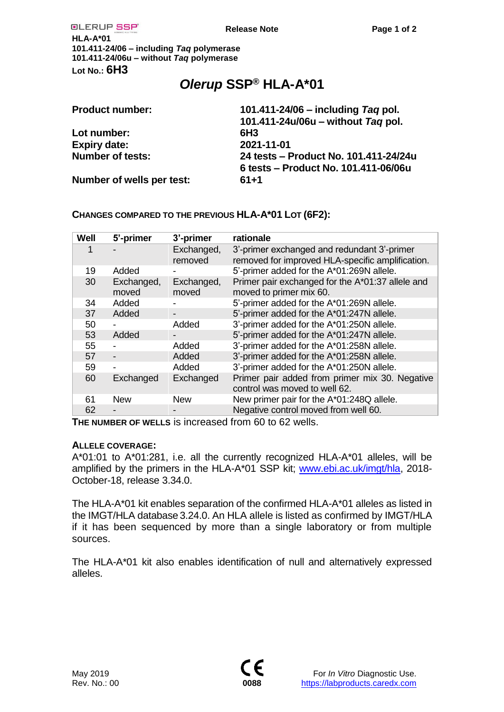| OLERUP SSP                               | Release Note                                                                  | Page 1 of 2                                                              |  |
|------------------------------------------|-------------------------------------------------------------------------------|--------------------------------------------------------------------------|--|
| $HLA-A*01$                               |                                                                               |                                                                          |  |
| 101.411-24/06 - including Taq polymerase |                                                                               |                                                                          |  |
| 101.411-24/06u - without Tag polymerase  |                                                                               |                                                                          |  |
| Lot No.: $6H3$                           |                                                                               |                                                                          |  |
|                                          | Olerup SSP <sup>®</sup> HLA-A*01                                              |                                                                          |  |
| <b>Product number:</b>                   |                                                                               | 101.411-24/06 – including Tag pol.<br>101.411-24u/06u – without Tag pol. |  |
| Lot number:                              | 6H3                                                                           |                                                                          |  |
| <b>Expiry date:</b>                      | 2021-11-01                                                                    |                                                                          |  |
| <b>Number of tests:</b>                  | 24 tests – Product No. 101.411-24/24u<br>6 tests – Product No. 101.411-06/06u |                                                                          |  |
| Number of wells per test:                | $61 + 1$                                                                      |                                                                          |  |

# **CHANGES COMPARED TO THE PREVIOUS HLA-A\*01 LOT (6F2):**

| <b>Well</b> | 5'-primer                | 3'-primer             | rationale                                                                                       |
|-------------|--------------------------|-----------------------|-------------------------------------------------------------------------------------------------|
|             |                          | Exchanged,<br>removed | 3'-primer exchanged and redundant 3'-primer<br>removed for improved HLA-specific amplification. |
| 19          | Added                    |                       | 5'-primer added for the A*01:269N allele.                                                       |
| 30          | Exchanged,<br>moved      | Exchanged,<br>moved   | Primer pair exchanged for the A*01:37 allele and<br>moved to primer mix 60.                     |
| 34          | Added                    |                       | 5'-primer added for the A*01:269N allele.                                                       |
| 37          | Added                    |                       | 5'-primer added for the A*01:247N allele.                                                       |
| 50          |                          | Added                 | 3'-primer added for the A*01:250N allele.                                                       |
| 53          | Added                    |                       | 5'-primer added for the A*01:247N allele.                                                       |
| 55          |                          | Added                 | 3'-primer added for the A*01:258N allele.                                                       |
| 57          | $\overline{\phantom{a}}$ | Added                 | 3'-primer added for the A*01:258N allele.                                                       |
| 59          |                          | Added                 | 3'-primer added for the A*01:250N allele.                                                       |
| 60          | Exchanged                | Exchanged             | Primer pair added from primer mix 30. Negative<br>control was moved to well 62.                 |
| 61          | <b>New</b>               | <b>New</b>            | New primer pair for the A*01:248Q allele.                                                       |
| 62          |                          |                       | Negative control moved from well 60.                                                            |

**THE NUMBER OF WELLS** is increased from 60 to 62 wells.

## **ALLELE COVERAGE:**

A\*01:01 to A\*01:281, i.e. all the currently recognized HLA-A\*01 alleles, will be amplified by the primers in the HLA-A\*01 SSP kit; [www.ebi.ac.uk/imgt/hla,](http://www.ebi.ac.uk/imgt/hla) 2018-October-18, release 3.34.0.

The HLA-A\*01 kit enables separation of the confirmed HLA-A\*01 alleles as listed in the IMGT/HLA database 3.24.0. An HLA allele is listed as confirmed by IMGT/HLA if it has been sequenced by more than a single laboratory or from multiple sources.

The HLA-A\*01 kit also enables identification of null and alternatively expressed alleles.